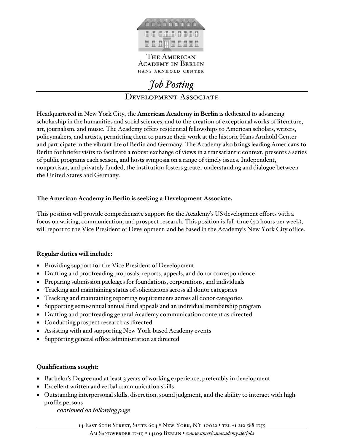

#### THE AMERICAN **ACADEMY IN BERLIN** HANS ARNHOLD CENTER

# *Job Posting*  DEVELOPMENT ASSOCIATE

Headquartered in New York City, the **American Academy in Berlin** is dedicated to advancing scholarship in the humanities and social sciences, and to the creation of exceptional works of literature, art, journalism, and music. The Academy offers residential fellowships to American scholars, writers, policymakers, and artists, permitting them to pursue their work at the historic Hans Arnhold Center and participate in the vibrant life of Berlin and Germany. The Academy also brings leading Americans to Berlin for briefer visits to facilitate a robust exchange of views in a transatlantic context, presents a series of public programs each season, and hosts symposia on a range of timely issues. Independent, nonpartisan, and privately funded, the institution fosters greater understanding and dialogue between the United States and Germany.

#### **The American Academy in Berlin is seeking a Development Associate.**

This position will provide comprehensive support for the Academy's US development efforts with a focus on writing, communication, and prospect research. This position is full-time (40 hours per week), will report to the Vice President of Development, and be based in the Academy's New York City office.

### **Regular duties will include:**

- Providing support for the Vice President of Development
- Drafting and proofreading proposals, reports, appeals, and donor correspondence
- Preparing submission packages for foundations, corporations, and individuals
- Tracking and maintaining status of solicitations across all donor categories
- Tracking and maintaining reporting requirements across all donor categories
- Supporting semi-annual annual fund appeals and an individual membership program
- Drafting and proofreading general Academy communication content as directed
- Conducting prospect research as directed
- Assisting with and supporting New York-based Academy events
- Supporting general office administration as directed

### **Qualifications sought:**

- Bachelor's Degree and at least 3 years of working experience, preferably in development
- Excellent written and verbal communication skills
- Outstanding interpersonal skills, discretion, sound judgment, and the ability to interact with high profile persons

continued on following page

14 EAST 60TH STREET, SUITE 604 · NEW YORK, NY 10022 · TEL +1 212 588 1755